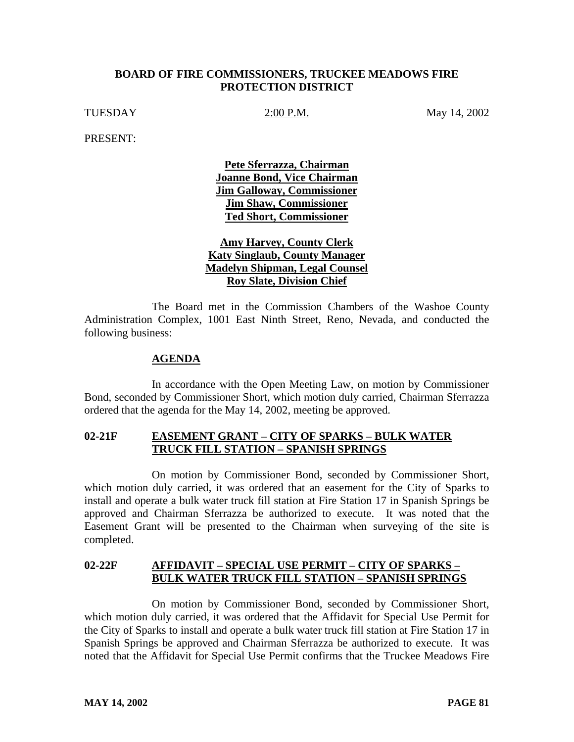#### **BOARD OF FIRE COMMISSIONERS, TRUCKEE MEADOWS FIRE PROTECTION DISTRICT**

TUESDAY 2:00 P.M. May 14, 2002

PRESENT:

**Pete Sferrazza, Chairman Joanne Bond, Vice Chairman Jim Galloway, Commissioner Jim Shaw, Commissioner Ted Short, Commissioner**

**Amy Harvey, County Clerk Katy Singlaub, County Manager Madelyn Shipman, Legal Counsel Roy Slate, Division Chief**

The Board met in the Commission Chambers of the Washoe County Administration Complex, 1001 East Ninth Street, Reno, Nevada, and conducted the following business:

#### **AGENDA**

In accordance with the Open Meeting Law, on motion by Commissioner Bond, seconded by Commissioner Short, which motion duly carried, Chairman Sferrazza ordered that the agenda for the May 14, 2002, meeting be approved.

## **02-21F EASEMENT GRANT – CITY OF SPARKS – BULK WATER TRUCK FILL STATION – SPANISH SPRINGS**

On motion by Commissioner Bond, seconded by Commissioner Short, which motion duly carried, it was ordered that an easement for the City of Sparks to install and operate a bulk water truck fill station at Fire Station 17 in Spanish Springs be approved and Chairman Sferrazza be authorized to execute. It was noted that the Easement Grant will be presented to the Chairman when surveying of the site is completed.

## **02-22F AFFIDAVIT – SPECIAL USE PERMIT – CITY OF SPARKS – BULK WATER TRUCK FILL STATION – SPANISH SPRINGS**

On motion by Commissioner Bond, seconded by Commissioner Short, which motion duly carried, it was ordered that the Affidavit for Special Use Permit for the City of Sparks to install and operate a bulk water truck fill station at Fire Station 17 in Spanish Springs be approved and Chairman Sferrazza be authorized to execute. It was noted that the Affidavit for Special Use Permit confirms that the Truckee Meadows Fire